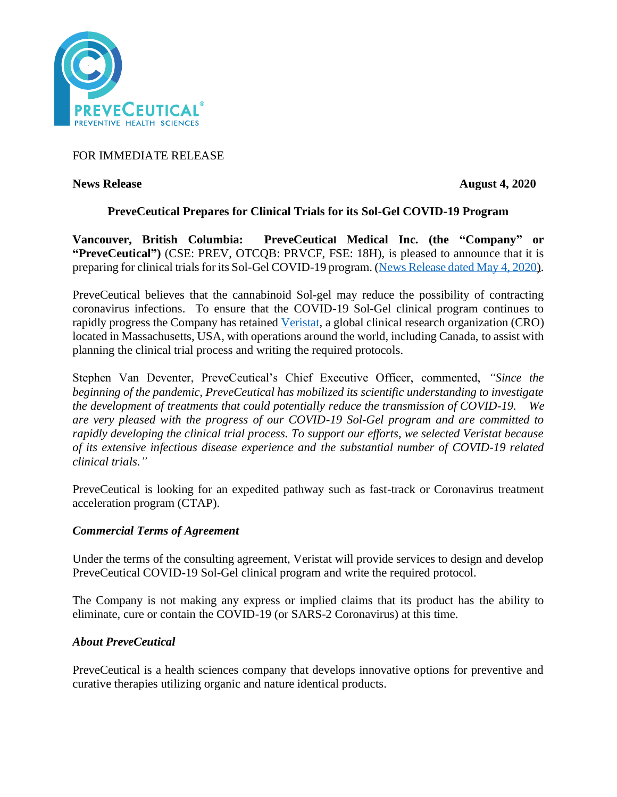

FOR IMMEDIATE RELEASE

**News Release August 4, 2020** 

# **PreveCeutical Prepares for Clinical Trials for its Sol-Gel COVID-19 Program**

**Vancouver, British Columbia: PreveCeutical Medical Inc. (the "Company" or "PreveCeutical")** (CSE: PREV, OTCQB: PRVCF, FSE: 18H), is pleased to announce that it is preparing for clinical trials for its Sol-Gel COVID-19 program. [\(News Release dated May 4, 2020\)](https://www.preveceutical.com/investors/news/preveceutical-announces-possible-viral-prevention-program-using-cbd-sol-gel).

PreveCeutical believes that the cannabinoid Sol-gel may reduce the possibility of contracting coronavirus infections. To ensure that the COVID-19 Sol-Gel clinical program continues to rapidly progress the Company has retained [Veristat,](https://www.veristat.com/) a global clinical research organization (CRO) located in Massachusetts, USA, with operations around the world, including Canada, to assist with planning the clinical trial process and writing the required protocols.

Stephen Van Deventer, PreveCeutical's Chief Executive Officer, commented, *"Since the beginning of the pandemic, PreveCeutical has mobilized its scientific understanding to investigate the development of treatments that could potentially reduce the transmission of COVID-19. We are very pleased with the progress of our COVID-19 Sol-Gel program and are committed to rapidly developing the clinical trial process. To support our efforts, we selected Veristat because of its extensive infectious disease experience and the substantial number of COVID-19 related clinical trials."* 

PreveCeutical is looking for an expedited pathway such as fast-track or Coronavirus treatment acceleration program (CTAP).

## *Commercial Terms of Agreement*

Under the terms of the consulting agreement, Veristat will provide services to design and develop PreveCeutical COVID-19 Sol-Gel clinical program and write the required protocol.

The Company is not making any express or implied claims that its product has the ability to eliminate, cure or contain the COVID-19 (or SARS-2 Coronavirus) at this time.

# *About PreveCeutical*

PreveCeutical is a health sciences company that develops innovative options for preventive and curative therapies utilizing organic and nature identical products.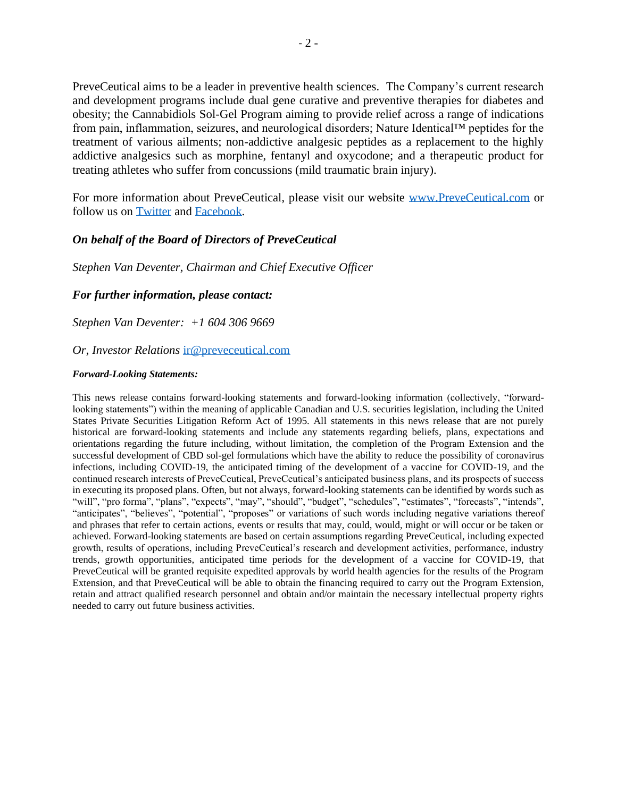PreveCeutical aims to be a leader in preventive health sciences. The Company's current research and development programs include dual gene curative and preventive therapies for diabetes and obesity; the Cannabidiols Sol-Gel Program aiming to provide relief across a range of indications from pain, inflammation, seizures, and neurological disorders; Nature Identical™ peptides for the treatment of various ailments; non-addictive analgesic peptides as a replacement to the highly addictive analgesics such as morphine, fentanyl and oxycodone; and a therapeutic product for treating athletes who suffer from concussions (mild traumatic brain injury).

For more information about PreveCeutical, please visit our website [www.PreveCeutical.com](http://www.preveceutical.com/) or follow us on [Twitter](http://twitter.com/PreveCeuticals) and [Facebook.](http://www.facebook.com/PreveCeutical)

### *On behalf of the Board of Directors of PreveCeutical*

*Stephen Van Deventer, Chairman and Chief Executive Officer*

#### *For further information, please contact:*

*Stephen Van Deventer: +1 604 306 9669*

#### *Or, Investor Relations* [ir@preveceutical.com](mailto:ir@preveceutical.com)

#### *Forward-Looking Statements:*

This news release contains forward-looking statements and forward-looking information (collectively, "forwardlooking statements") within the meaning of applicable Canadian and U.S. securities legislation, including the United States Private Securities Litigation Reform Act of 1995. All statements in this news release that are not purely historical are forward-looking statements and include any statements regarding beliefs, plans, expectations and orientations regarding the future including, without limitation, the completion of the Program Extension and the successful development of CBD sol-gel formulations which have the ability to reduce the possibility of coronavirus infections, including COVID-19, the anticipated timing of the development of a vaccine for COVID-19, and the continued research interests of PreveCeutical, PreveCeutical's anticipated business plans, and its prospects of success in executing its proposed plans. Often, but not always, forward-looking statements can be identified by words such as "will", "pro forma", "plans", "expects", "may", "should", "budget", "schedules", "estimates", "forecasts", "intends", "anticipates", "believes", "potential", "proposes" or variations of such words including negative variations thereof and phrases that refer to certain actions, events or results that may, could, would, might or will occur or be taken or achieved. Forward-looking statements are based on certain assumptions regarding PreveCeutical, including expected growth, results of operations, including PreveCeutical's research and development activities, performance, industry trends, growth opportunities, anticipated time periods for the development of a vaccine for COVID-19, that PreveCeutical will be granted requisite expedited approvals by world health agencies for the results of the Program Extension, and that PreveCeutical will be able to obtain the financing required to carry out the Program Extension, retain and attract qualified research personnel and obtain and/or maintain the necessary intellectual property rights needed to carry out future business activities.